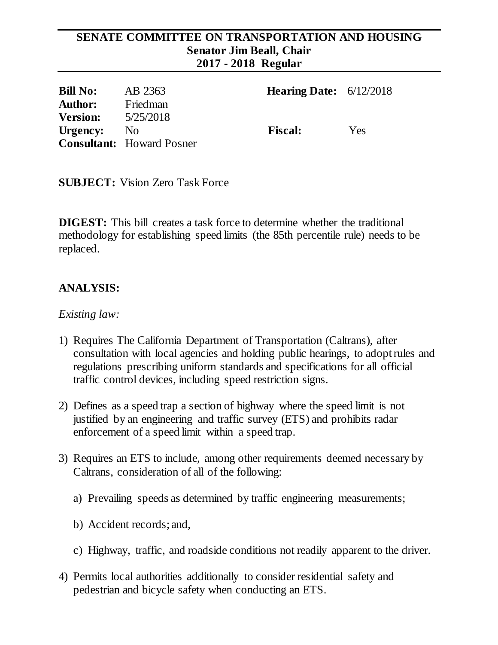#### **SENATE COMMITTEE ON TRANSPORTATION AND HOUSING Senator Jim Beall, Chair 2017 - 2018 Regular**

| <b>Bill No:</b> | AB 2363                          | <b>Hearing Date:</b> $6/12/2018$ |     |
|-----------------|----------------------------------|----------------------------------|-----|
| <b>Author:</b>  | Friedman                         |                                  |     |
| <b>Version:</b> | 5/25/2018                        |                                  |     |
| Urgency:        | N <sub>o</sub>                   | <b>Fiscal:</b>                   | Yes |
|                 | <b>Consultant:</b> Howard Posner |                                  |     |

**SUBJECT:** Vision Zero Task Force

**DIGEST:** This bill creates a task force to determine whether the traditional methodology for establishing speed limits (the 85th percentile rule) needs to be replaced.

## **ANALYSIS:**

#### *Existing law:*

- 1) Requires The California Department of Transportation (Caltrans), after consultation with local agencies and holding public hearings, to adopt rules and regulations prescribing uniform standards and specifications for all official traffic control devices, including speed restriction signs.
- 2) Defines as a speed trap a section of highway where the speed limit is not justified by an engineering and traffic survey (ETS) and prohibits radar enforcement of a speed limit within a speed trap.
- 3) Requires an ETS to include, among other requirements deemed necessary by Caltrans, consideration of all of the following:
	- a) Prevailing speeds as determined by traffic engineering measurements;
	- b) Accident records; and,
	- c) Highway, traffic, and roadside conditions not readily apparent to the driver.
- 4) Permits local authorities additionally to consider residential safety and pedestrian and bicycle safety when conducting an ETS.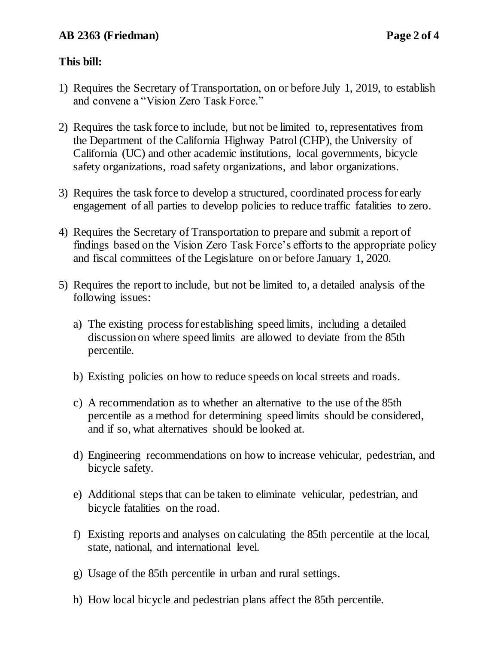### **This bill:**

- 1) Requires the Secretary of Transportation, on or before July 1, 2019, to establish and convene a "Vision Zero Task Force."
- 2) Requires the task force to include, but not be limited to, representatives from the Department of the California Highway Patrol (CHP), the University of California (UC) and other academic institutions, local governments, bicycle safety organizations, road safety organizations, and labor organizations.
- 3) Requires the task force to develop a structured, coordinated process for early engagement of all parties to develop policies to reduce traffic fatalities to zero.
- 4) Requires the Secretary of Transportation to prepare and submit a report of findings based on the Vision Zero Task Force's efforts to the appropriate policy and fiscal committees of the Legislature on or before January 1, 2020.
- 5) Requires the report to include, but not be limited to, a detailed analysis of the following issues:
	- a) The existing process for establishing speed limits, including a detailed discussion on where speed limits are allowed to deviate from the 85th percentile.
	- b) Existing policies on how to reduce speeds on local streets and roads.
	- c) A recommendation as to whether an alternative to the use of the 85th percentile as a method for determining speed limits should be considered, and if so, what alternatives should be looked at.
	- d) Engineering recommendations on how to increase vehicular, pedestrian, and bicycle safety.
	- e) Additional steps that can be taken to eliminate vehicular, pedestrian, and bicycle fatalities on the road.
	- f) Existing reports and analyses on calculating the 85th percentile at the local, state, national, and international level.
	- g) Usage of the 85th percentile in urban and rural settings.
	- h) How local bicycle and pedestrian plans affect the 85th percentile.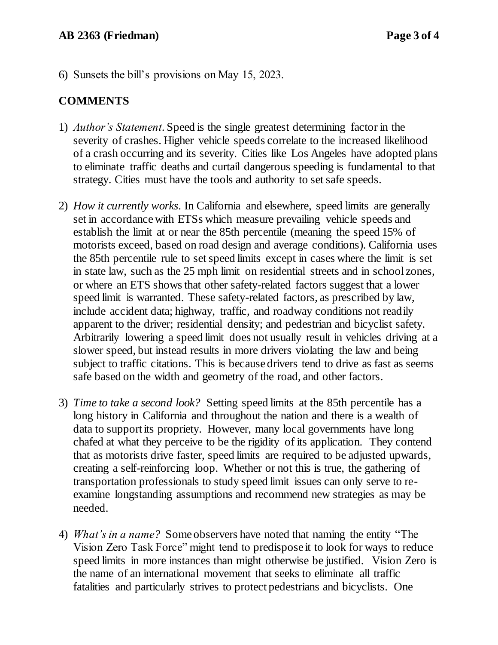6) Sunsets the bill's provisions on May 15, 2023.

### **COMMENTS**

- 1) *Author's Statement*. Speed is the single greatest determining factor in the severity of crashes. Higher vehicle speeds correlate to the increased likelihood of a crash occurring and its severity. Cities like Los Angeles have adopted plans to eliminate traffic deaths and curtail dangerous speeding is fundamental to that strategy. Cities must have the tools and authority to set safe speeds.
- 2) *How it currently works*. In California and elsewhere, speed limits are generally set in accordance with ETSs which measure prevailing vehicle speeds and establish the limit at or near the 85th percentile (meaning the speed 15% of motorists exceed, based on road design and average conditions). California uses the 85th percentile rule to set speed limits except in cases where the limit is set in state law, such as the 25 mph limit on residential streets and in school zones, or where an ETS shows that other safety-related factors suggest that a lower speed limit is warranted. These safety-related factors, as prescribed by law, include accident data; highway, traffic, and roadway conditions not readily apparent to the driver; residential density; and pedestrian and bicyclist safety. Arbitrarily lowering a speed limit does not usually result in vehicles driving at a slower speed, but instead results in more drivers violating the law and being subject to traffic citations. This is because drivers tend to drive as fast as seems safe based on the width and geometry of the road, and other factors.
- 3) *Time to take a second look?* Setting speed limits at the 85th percentile has a long history in California and throughout the nation and there is a wealth of data to support its propriety. However, many local governments have long chafed at what they perceive to be the rigidity of its application. They contend that as motorists drive faster, speed limits are required to be adjusted upwards, creating a self-reinforcing loop. Whether or not this is true, the gathering of transportation professionals to study speed limit issues can only serve to reexamine longstanding assumptions and recommend new strategies as may be needed.
- 4) *What's in a name?* Some observers have noted that naming the entity "The Vision Zero Task Force" might tend to predispose it to look for ways to reduce speed limits in more instances than might otherwise be justified. Vision Zero is the name of an international movement that seeks to eliminate all traffic fatalities and particularly strives to protect pedestrians and bicyclists. One